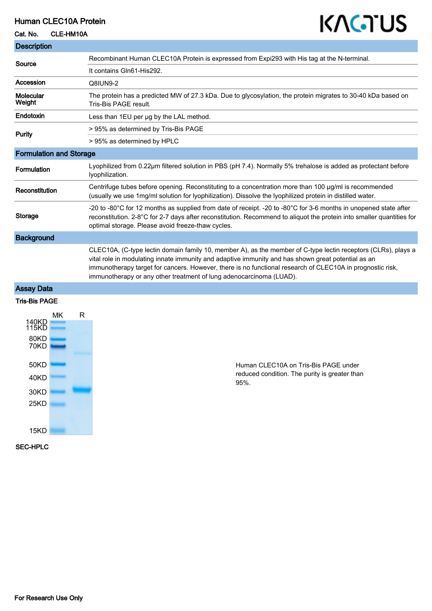## Human CLEC10A Protein

# KAGTUS

#### Cat. No. CLE-HM10A

| <b>Description</b>             |                                                                                                                                                                                                                                                                                                                                                                                                         |
|--------------------------------|---------------------------------------------------------------------------------------------------------------------------------------------------------------------------------------------------------------------------------------------------------------------------------------------------------------------------------------------------------------------------------------------------------|
| Source                         | Recombinant Human CLEC10A Protein is expressed from Expi293 with His tag at the N-terminal.                                                                                                                                                                                                                                                                                                             |
|                                | It contains Gln61-His292.                                                                                                                                                                                                                                                                                                                                                                               |
| Accession                      | Q8IUN9-2                                                                                                                                                                                                                                                                                                                                                                                                |
| Molecular<br>Weight            | The protein has a predicted MW of 27.3 kDa. Due to glycosylation, the protein migrates to 30-40 kDa based on<br>Tris-Bis PAGE result.                                                                                                                                                                                                                                                                   |
| Endotoxin                      | Less than 1EU per ug by the LAL method.                                                                                                                                                                                                                                                                                                                                                                 |
| Purity                         | > 95% as determined by Tris-Bis PAGE                                                                                                                                                                                                                                                                                                                                                                    |
|                                | > 95% as determined by HPLC                                                                                                                                                                                                                                                                                                                                                                             |
| <b>Formulation and Storage</b> |                                                                                                                                                                                                                                                                                                                                                                                                         |
| <b>Formulation</b>             | Lyophilized from 0.22µm filtered solution in PBS (pH 7.4). Normally 5% trehalose is added as protectant before<br>lyophilization.                                                                                                                                                                                                                                                                       |
| Reconstitution                 | Centrifuge tubes before opening. Reconstituting to a concentration more than 100 µg/ml is recommended<br>(usually we use 1mg/ml solution for lyophilization). Dissolve the lyophilized protein in distilled water.                                                                                                                                                                                      |
| <b>Storage</b>                 | -20 to -80°C for 12 months as supplied from date of receipt. -20 to -80°C for 3-6 months in unopened state after<br>reconstitution. 2-8°C for 2-7 days after reconstitution. Recommend to aliquot the protein into smaller quantities for<br>optimal storage. Please avoid freeze-thaw cycles.                                                                                                          |
| <b>Background</b>              |                                                                                                                                                                                                                                                                                                                                                                                                         |
|                                | CLEC10A, (C-type lectin domain family 10, member A), as the member of C-type lectin receptors (CLRs), plays a<br>vital role in modulating innate immunity and adaptive immunity and has shown great potential as an<br>immunotherapy target for cancers. However, there is no functional research of CLEC10A in prognostic risk,<br>immunotherapy or any other treatment of lung adenocarcinoma (LUAD). |
| $A = 1, 2, 3, 5, 6, 4$         |                                                                                                                                                                                                                                                                                                                                                                                                         |

#### Assay Data

## Tris-Bis PAGE



Human CLEC10A on Tris-Bis PAGE under reduced condition. The purity is greater than 95%.

#### SEC-HPLC